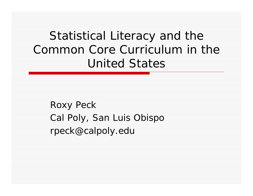Statistical Literacy and the Common Core Curriculum in the United States

Roxy Peck Cal Poly, San Luis Obispo rpeck@calpoly.edu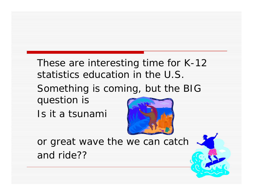These are interesting time for K-12 statistics education in the U.S.

Something is coming, but the BIG question is

Is it a tsunami



or great wave the we can catch and ride??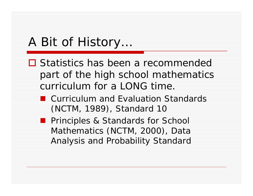# A Bit of History…

- **□ Statistics has been a recommended** part of the high school mathematics curriculum for a LONG time.
	- *Curriculum and Evaluation Standards* (NCTM, 1989), Standard 10
	- *Principles & Standards for School Mathematics* (NCTM, 2000), Data Analysis and Probability Standard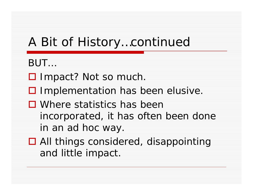# A Bit of History…continued

- BUT…
- □ Impact? Not so much.
- $\square$  Implementation has been elusive.
- □ Where statistics has been incorporated, it has often been done in an ad hoc way.
- □ All things considered, disappointing and little impact.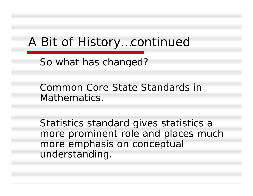## A Bit of History…continued

So what has changed?

Common Core State Standards in Mathematics.

Statistics standard gives statistics a more prominent role and places much more emphasis on conceptual understanding.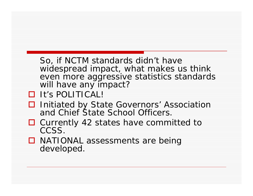So, if NCTM standards didn't have widespread impact, what makes us think even more aggressive statistics standards will have any impact?

#### **□** It's POLITICAL!

- **□** Initiated by State Governors' Association and Chief State School Officers.
- **□** Currently 42 states have committed to CCSS.
- **□ NATIONAL assessments are being** developed.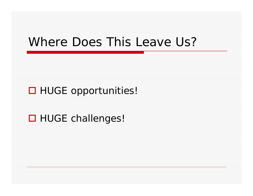## Where Does This Leave Us?

#### □ HUGE opportunities!

### **□ HUGE challenges!**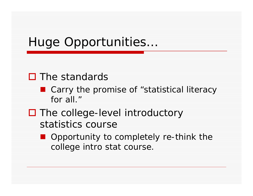# Huge Opportunities…

### $\Box$  The standards

- Carry the promise of "statistical literacy for all."
- □ The college-level introductory statistics course
	- Opportunity to completely re-think the college intro stat course.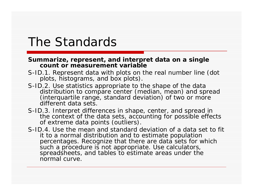## The Standards

#### **Summarize, represent, and interpret data on a single count or measurement variable**

- S-ID.1. Represent data with plots on the real number line (dot plots, histograms, and box plots).
- S-ID.2. Use statistics appropriate to the shape of the data distribution to compare center (median, mean) and spread (interquartile range, standard deviation) of two or more different data sets.
- S-ID.3. Interpret differences in shape, center, and spread in the context of the data sets, accounting for possible effects of extreme data points (outliers).
- S-ID.4. Use the mean and standard deviation of a data set to fit it to a normal distribution and to estimate population percentages. Recognize that there are data sets for which such a procedure is not appropriate. Use calculators, spreadsheets, and tables to estimate areas under the normal curve.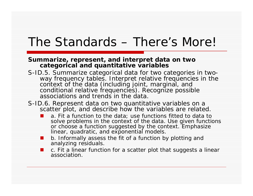## The Standards – There's More!

#### **Summarize, represent, and interpret data on two categorical and quantitative variables**

- S-ID.5. Summarize categorical data for two categories in twoway frequency tables. Interpret relative frequencies in the<br>context of the data (including joint, marginal, and<br>conditional relative frequencies). Recognize possible associations and trends in the data.
- S-ID.6. Represent data on two quantitative variables on a scatter plot, and describe how the variables are related.
	- **The State**  a. Fit a function to the data; use functions fitted to data to solve problems in the context of the data. Use given functions or choose a function suggested by the context. Emphasize linear, quadratic, and exponential models.
	- × b. Informally assess the fit of a function by plotting and analyzing residuals.
	- c. Fit a linear function for a scatter plot that suggests a linear association.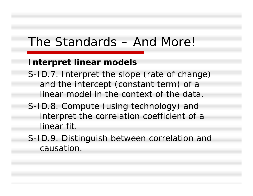## The Standards – And More!

#### **Interpret linear models**

- S-ID.7. Interpret the slope (rate of change) and the intercept (constant term) of a linear model in the context of the data.
- S-ID.8. Compute (using technology) and interpret the correlation coefficient of a linear fit.
- S-ID.9. Distinguish between correlation and causation.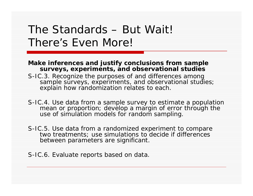## The Standards – But Wait! There's Even More!

#### **Make inferences and justify conclusions from sample surveys, experiments, and observational studies**

- S-IC.3. Recognize the purposes of and differences among sample surveys, experiments, and observational studies; explain how randomization relates to each.
- S-IC.4. Use data from a sample survey to estimate a population mean or proportion; develop a margin of error through the use of simulation models for random sampling.
- S-IC.5. Use data from a randomized experiment to compare two treatments; use simulations to decide if differences between parameters are significant.
- S-IC.6. Evaluate reports based on data.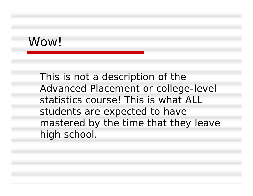## Wow!

This is not a description of the Advanced Placement or college-level statistics course! This is what ALL students are expected to have mastered by the time that they leave high school.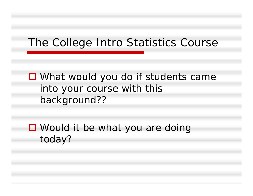## The College Intro Statistics Course

■ What would you do if students came into your course with this background??

■ Would it be what you are doing today?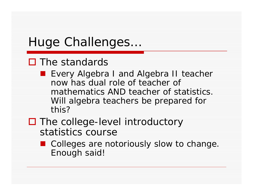# Huge Challenges…

### $\Box$  The standards

**Exery Algebra I and Algebra II teacher** now has dual role of teacher of mathematics AND teacher of statistics. Will algebra teachers be prepared for this?

### □ The college-level introductory statistics course

■ Colleges are notoriously slow to change. Enough said!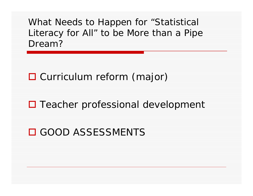What Needs to Happen for "Statistical Literacy for All" to be More than a Pipe Dream?

□ Curriculum reform (major)

□ Teacher professional development

GOOD ASSESSMENTS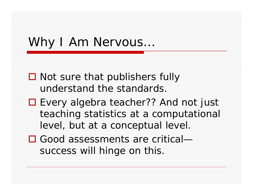# Why I Am Nervous...

- $\square$  Not sure that publishers fully understand the standards.
- Every algebra teacher?? And not just teaching statistics at a computational level, but at a conceptual level.
- Good assessments are criticalsuccess will hinge on this.